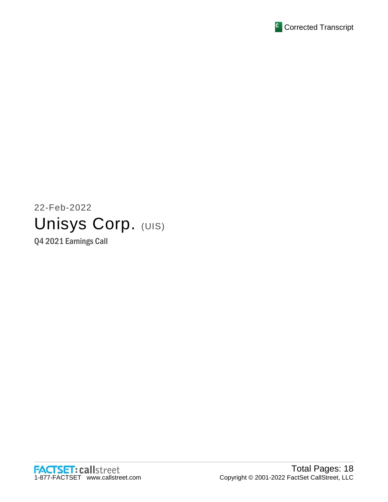

# 22-Feb-2022 Unisys Corp. (UIS)

Q4 2021 Earnings Call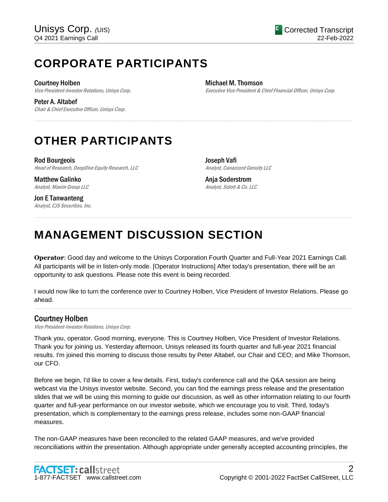# **CORPORATE PARTICIPANTS**

Courtney Holben Vice President-Investor Relations, Unisys Corp.

Peter A. Altabef Chair & Chief Executive Officer, Unisys Corp. Michael M. Thomson Executive Vice President & Chief Financial Officer, Unisys Corp.

# **OTHER PARTICIPANTS**

Rod Bourgeois Head of Research, DeepDive Equity Research, LLC

Matthew Galinko Analyst, Maxim Group LLC

Jon E Tanwanteng Analyst, CJS Securities, Inc. Joseph Vafi Analyst, Canaccord Genuity LLC

Anja Soderstrom Analyst, Sidoti & Co. LLC

# **MANAGEMENT DISCUSSION SECTION**

**Operator**: Good day and welcome to the Unisys Corporation Fourth Quarter and Full-Year 2021 Earnings Call. All participants will be in listen-only mode. [Operator Instructions] After today's presentation, there will be an opportunity to ask questions. Please note this event is being recorded.

......................................................................................................................................................................................................................................................

......................................................................................................................................................................................................................................................

I would now like to turn the conference over to Courtney Holben, Vice President of Investor Relations. Please go ahead. ......................................................................................................................................................................................................................................................

# Courtney Holben

Vice President-Investor Relations, Unisys Corp.

Thank you, operator. Good morning, everyone. This is Courtney Holben, Vice President of Investor Relations. Thank you for joining us. Yesterday afternoon, Unisys released its fourth quarter and full-year 2021 financial results. I'm joined this morning to discuss those results by Peter Altabef, our Chair and CEO; and Mike Thomson, our CFO.

Before we begin, I'd like to cover a few details. First, today's conference call and the Q&A session are being webcast via the Unisys investor website. Second, you can find the earnings press release and the presentation slides that we will be using this morning to guide our discussion, as well as other information relating to our fourth quarter and full-year performance on our investor website, which we encourage you to visit. Third, today's presentation, which is complementary to the earnings press release, includes some non-GAAP financial measures.

The non-GAAP measures have been reconciled to the related GAAP measures, and we've provided reconciliations within the presentation. Although appropriate under generally accepted accounting principles, the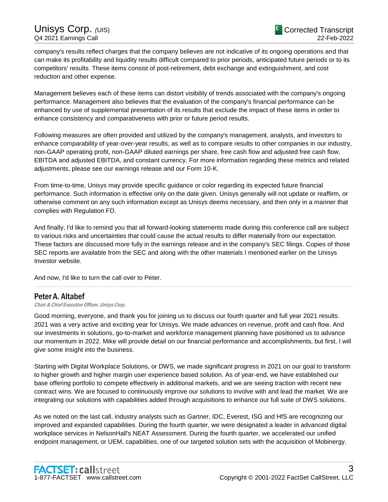company's results reflect charges that the company believes are not indicative of its ongoing operations and that can make its profitability and liquidity results difficult compared to prior periods, anticipated future periods or to its competitors' results. These items consist of post-retirement, debt exchange and extinguishment, and cost reduction and other expense.

Management believes each of these items can distort visibility of trends associated with the company's ongoing performance. Management also believes that the evaluation of the company's financial performance can be enhanced by use of supplemental presentation of its results that exclude the impact of these items in order to enhance consistency and comparativeness with prior or future period results.

Following measures are often provided and utilized by the company's management, analysts, and investors to enhance comparability of year-over-year results, as well as to compare results to other companies in our industry, non-GAAP operating profit, non-GAAP diluted earnings per share, free cash flow and adjusted free cash flow, EBITDA and adjusted EBITDA, and constant currency. For more information regarding these metrics and related adjustments, please see our earnings release and our Form 10-K.

From time-to-time, Unisys may provide specific guidance or color regarding its expected future financial performance. Such information is effective only on the date given. Unisys generally will not update or reaffirm, or otherwise comment on any such information except as Unisys deems necessary, and then only in a manner that complies with Regulation FD.

And finally, I'd like to remind you that all forward-looking statements made during this conference call are subject to various risks and uncertainties that could cause the actual results to differ materially from our expectation. These factors are discussed more fully in the earnings release and in the company's SEC filings. Copies of those SEC reports are available from the SEC and along with the other materials I mentioned earlier on the Unisys Investor website.

......................................................................................................................................................................................................................................................

And now, I'd like to turn the call over to Peter.

# Peter A. Altabef

Chair & Chief Executive Officer, Unisys Corp.

Good morning, everyone, and thank you for joining us to discuss our fourth quarter and full year 2021 results. 2021 was a very active and exciting year for Unisys. We made advances on revenue, profit and cash flow. And our investments in solutions, go-to-market and workforce management planning have positioned us to advance our momentum in 2022. Mike will provide detail on our financial performance and accomplishments, but first, I will give some insight into the business.

Starting with Digital Workplace Solutions, or DWS, we made significant progress in 2021 on our goal to transform to higher growth and higher margin user experience based solution. As of year-end, we have established our base offering portfolio to compete effectively in additional markets, and we are seeing traction with recent new contract wins. We are focused to continuously improve our solutions to involve with and lead the market. We are integrating our solutions with capabilities added through acquisitions to enhance our full suite of DWS solutions.

As we noted on the last call, industry analysts such as Gartner, IDC, Everest, ISG and HfS are recognizing our improved and expanded capabilities. During the fourth quarter, we were designated a leader in advanced digital workplace services in NelsonHall's NEAT Assessment. During the fourth quarter, we accelerated our unified endpoint management, or UEM, capabilities, one of our targeted solution sets with the acquisition of Mobinergy.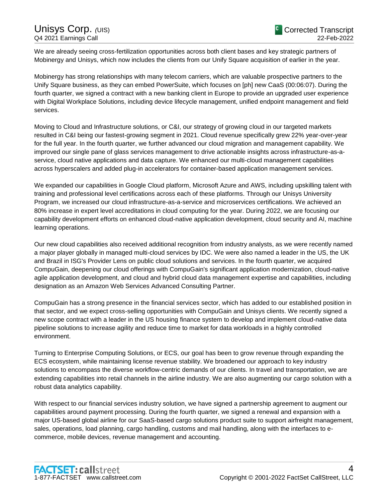We are already seeing cross-fertilization opportunities across both client bases and key strategic partners of Mobinergy and Unisys, which now includes the clients from our Unify Square acquisition of earlier in the year.

Mobinergy has strong relationships with many telecom carriers, which are valuable prospective partners to the Unify Square business, as they can embed PowerSuite, which focuses on [ph] new CaaS (00:06:07). During the fourth quarter, we signed a contract with a new banking client in Europe to provide an upgraded user experience with Digital Workplace Solutions, including device lifecycle management, unified endpoint management and field services.

Moving to Cloud and Infrastructure solutions, or C&I, our strategy of growing cloud in our targeted markets resulted in C&I being our fastest-growing segment in 2021. Cloud revenue specifically grew 22% year-over-year for the full year. In the fourth quarter, we further advanced our cloud migration and management capability. We improved our single pane of glass services management to drive actionable insights across infrastructure-as-aservice, cloud native applications and data capture. We enhanced our multi-cloud management capabilities across hyperscalers and added plug-in accelerators for container-based application management services.

We expanded our capabilities in Google Cloud platform, Microsoft Azure and AWS, including upskilling talent with training and professional level certifications across each of these platforms. Through our Unisys University Program, we increased our cloud infrastructure-as-a-service and microservices certifications. We achieved an 80% increase in expert level accreditations in cloud computing for the year. During 2022, we are focusing our capability development efforts on enhanced cloud-native application development, cloud security and AI, machine learning operations.

Our new cloud capabilities also received additional recognition from industry analysts, as we were recently named a major player globally in managed multi-cloud services by IDC. We were also named a leader in the US, the UK and Brazil in ISG's Provider Lens on public cloud solutions and services. In the fourth quarter, we acquired CompuGain, deepening our cloud offerings with CompuGain's significant application modernization, cloud-native agile application development, and cloud and hybrid cloud data management expertise and capabilities, including designation as an Amazon Web Services Advanced Consulting Partner.

CompuGain has a strong presence in the financial services sector, which has added to our established position in that sector, and we expect cross-selling opportunities with CompuGain and Unisys clients. We recently signed a new scope contract with a leader in the US housing finance system to develop and implement cloud-native data pipeline solutions to increase agility and reduce time to market for data workloads in a highly controlled environment.

Turning to Enterprise Computing Solutions, or ECS, our goal has been to grow revenue through expanding the ECS ecosystem, while maintaining license revenue stability. We broadened our approach to key industry solutions to encompass the diverse workflow-centric demands of our clients. In travel and transportation, we are extending capabilities into retail channels in the airline industry. We are also augmenting our cargo solution with a robust data analytics capability.

With respect to our financial services industry solution, we have signed a partnership agreement to augment our capabilities around payment processing. During the fourth quarter, we signed a renewal and expansion with a major US-based global airline for our SaaS-based cargo solutions product suite to support airfreight management, sales, operations, load planning, cargo handling, customs and mail handling, along with the interfaces to ecommerce, mobile devices, revenue management and accounting.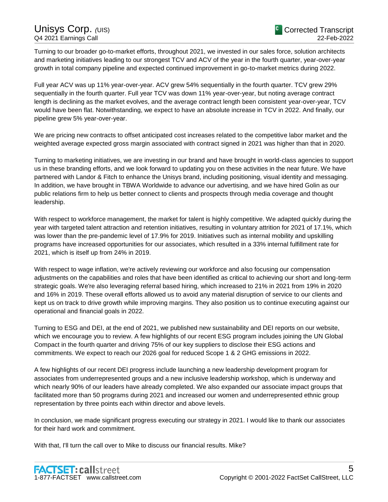Turning to our broader go-to-market efforts, throughout 2021, we invested in our sales force, solution architects and marketing initiatives leading to our strongest TCV and ACV of the year in the fourth quarter, year-over-year growth in total company pipeline and expected continued improvement in go-to-market metrics during 2022.

Full year ACV was up 11% year-over-year. ACV grew 54% sequentially in the fourth quarter. TCV grew 29% sequentially in the fourth quarter. Full year TCV was down 11% year-over-year, but noting average contract length is declining as the market evolves, and the average contract length been consistent year-over-year, TCV would have been flat. Notwithstanding, we expect to have an absolute increase in TCV in 2022. And finally, our pipeline grew 5% year-over-year.

We are pricing new contracts to offset anticipated cost increases related to the competitive labor market and the weighted average expected gross margin associated with contract signed in 2021 was higher than that in 2020.

Turning to marketing initiatives, we are investing in our brand and have brought in world-class agencies to support us in these branding efforts, and we look forward to updating you on these activities in the near future. We have partnered with Landor & Fitch to enhance the Unisys brand, including positioning, visual identity and messaging. In addition, we have brought in TBWA Worldwide to advance our advertising, and we have hired Golin as our public relations firm to help us better connect to clients and prospects through media coverage and thought leadership.

With respect to workforce management, the market for talent is highly competitive. We adapted quickly during the year with targeted talent attraction and retention initiatives, resulting in voluntary attrition for 2021 of 17.1%, which was lower than the pre-pandemic level of 17.9% for 2019. Initiatives such as internal mobility and upskilling programs have increased opportunities for our associates, which resulted in a 33% internal fulfillment rate for 2021, which is itself up from 24% in 2019.

With respect to wage inflation, we're actively reviewing our workforce and also focusing our compensation adjustments on the capabilities and roles that have been identified as critical to achieving our short and long-term strategic goals. We're also leveraging referral based hiring, which increased to 21% in 2021 from 19% in 2020 and 16% in 2019. These overall efforts allowed us to avoid any material disruption of service to our clients and kept us on track to drive growth while improving margins. They also position us to continue executing against our operational and financial goals in 2022.

Turning to ESG and DEI, at the end of 2021, we published new sustainability and DEI reports on our website, which we encourage you to review. A few highlights of our recent ESG program includes joining the UN Global Compact in the fourth quarter and driving 75% of our key suppliers to disclose their ESG actions and commitments. We expect to reach our 2026 goal for reduced Scope 1 & 2 GHG emissions in 2022.

A few highlights of our recent DEI progress include launching a new leadership development program for associates from underrepresented groups and a new inclusive leadership workshop, which is underway and which nearly 90% of our leaders have already completed. We also expanded our associate impact groups that facilitated more than 50 programs during 2021 and increased our women and underrepresented ethnic group representation by three points each within director and above levels.

In conclusion, we made significant progress executing our strategy in 2021. I would like to thank our associates for their hard work and commitment.

With that, I'll turn the call over to Mike to discuss our financial results. Mike?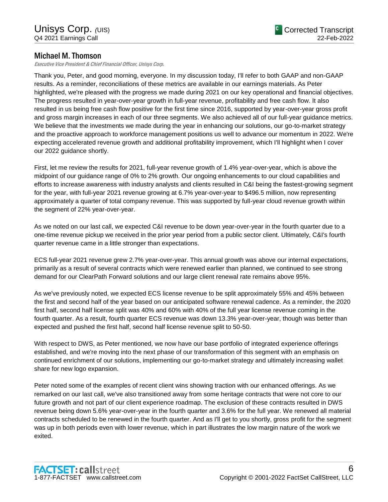# Michael M. Thomson

Executive Vice President & Chief Financial Officer, Unisys Corp.

Thank you, Peter, and good morning, everyone. In my discussion today, I'll refer to both GAAP and non-GAAP results. As a reminder, reconciliations of these metrics are available in our earnings materials. As Peter highlighted, we're pleased with the progress we made during 2021 on our key operational and financial objectives. The progress resulted in year-over-year growth in full-year revenue, profitability and free cash flow. It also resulted in us being free cash flow positive for the first time since 2016, supported by year-over-year gross profit and gross margin increases in each of our three segments. We also achieved all of our full-year guidance metrics. We believe that the investments we made during the year in enhancing our solutions, our go-to-market strategy and the proactive approach to workforce management positions us well to advance our momentum in 2022. We're expecting accelerated revenue growth and additional profitability improvement, which I'll highlight when I cover our 2022 guidance shortly.

First, let me review the results for 2021, full-year revenue growth of 1.4% year-over-year, which is above the midpoint of our guidance range of 0% to 2% growth. Our ongoing enhancements to our cloud capabilities and efforts to increase awareness with industry analysts and clients resulted in C&I being the fastest-growing segment for the year, with full-year 2021 revenue growing at 6.7% year-over-year to \$496.5 million, now representing approximately a quarter of total company revenue. This was supported by full-year cloud revenue growth within the segment of 22% year-over-year.

As we noted on our last call, we expected C&I revenue to be down year-over-year in the fourth quarter due to a one-time revenue pickup we received in the prior year period from a public sector client. Ultimately, C&I's fourth quarter revenue came in a little stronger than expectations.

ECS full-year 2021 revenue grew 2.7% year-over-year. This annual growth was above our internal expectations, primarily as a result of several contracts which were renewed earlier than planned, we continued to see strong demand for our ClearPath Forward solutions and our large client renewal rate remains above 95%.

As we've previously noted, we expected ECS license revenue to be split approximately 55% and 45% between the first and second half of the year based on our anticipated software renewal cadence. As a reminder, the 2020 first half, second half license split was 40% and 60% with 40% of the full year license revenue coming in the fourth quarter. As a result, fourth quarter ECS revenue was down 13.3% year-over-year, though was better than expected and pushed the first half, second half license revenue split to 50-50.

With respect to DWS, as Peter mentioned, we now have our base portfolio of integrated experience offerings established, and we're moving into the next phase of our transformation of this segment with an emphasis on continued enrichment of our solutions, implementing our go-to-market strategy and ultimately increasing wallet share for new logo expansion.

Peter noted some of the examples of recent client wins showing traction with our enhanced offerings. As we remarked on our last call, we've also transitioned away from some heritage contracts that were not core to our future growth and not part of our client experience roadmap. The exclusion of these contracts resulted in DWS revenue being down 5.6% year-over-year in the fourth quarter and 3.6% for the full year. We renewed all material contracts scheduled to be renewed in the fourth quarter. And as I'll get to you shortly, gross profit for the segment was up in both periods even with lower revenue, which in part illustrates the low margin nature of the work we exited.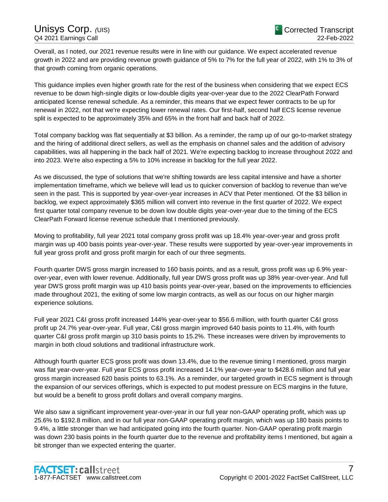Overall, as I noted, our 2021 revenue results were in line with our guidance. We expect accelerated revenue growth in 2022 and are providing revenue growth guidance of 5% to 7% for the full year of 2022, with 1% to 3% of that growth coming from organic operations.

This guidance implies even higher growth rate for the rest of the business when considering that we expect ECS revenue to be down high-single digits or low-double digits year-over-year due to the 2022 ClearPath Forward anticipated license renewal schedule. As a reminder, this means that we expect fewer contracts to be up for renewal in 2022, not that we're expecting lower renewal rates. Our first-half, second half ECS license revenue split is expected to be approximately 35% and 65% in the front half and back half of 2022.

Total company backlog was flat sequentially at \$3 billion. As a reminder, the ramp up of our go-to-market strategy and the hiring of additional direct sellers, as well as the emphasis on channel sales and the addition of advisory capabilities, was all happening in the back half of 2021. We're expecting backlog to increase throughout 2022 and into 2023. We're also expecting a 5% to 10% increase in backlog for the full year 2022.

As we discussed, the type of solutions that we're shifting towards are less capital intensive and have a shorter implementation timeframe, which we believe will lead us to quicker conversion of backlog to revenue than we've seen in the past. This is supported by year-over-year increases in ACV that Peter mentioned. Of the \$3 billion in backlog, we expect approximately \$365 million will convert into revenue in the first quarter of 2022. We expect first quarter total company revenue to be down low double digits year-over-year due to the timing of the ECS ClearPath Forward license revenue schedule that I mentioned previously.

Moving to profitability, full year 2021 total company gross profit was up 18.4% year-over-year and gross profit margin was up 400 basis points year-over-year. These results were supported by year-over-year improvements in full year gross profit and gross profit margin for each of our three segments.

Fourth quarter DWS gross margin increased to 160 basis points, and as a result, gross profit was up 6.9% yearover-year, even with lower revenue. Additionally, full year DWS gross profit was up 38% year-over-year. And full year DWS gross profit margin was up 410 basis points year-over-year, based on the improvements to efficiencies made throughout 2021, the exiting of some low margin contracts, as well as our focus on our higher margin experience solutions.

Full year 2021 C&I gross profit increased 144% year-over-year to \$56.6 million, with fourth quarter C&I gross profit up 24.7% year-over-year. Full year, C&I gross margin improved 640 basis points to 11.4%, with fourth quarter C&I gross profit margin up 310 basis points to 15.2%. These increases were driven by improvements to margin in both cloud solutions and traditional infrastructure work.

Although fourth quarter ECS gross profit was down 13.4%, due to the revenue timing I mentioned, gross margin was flat year-over-year. Full year ECS gross profit increased 14.1% year-over-year to \$428.6 million and full year gross margin increased 620 basis points to 63.1%. As a reminder, our targeted growth in ECS segment is through the expansion of our services offerings, which is expected to put modest pressure on ECS margins in the future, but would be a benefit to gross profit dollars and overall company margins.

We also saw a significant improvement year-over-year in our full year non-GAAP operating profit, which was up 25.6% to \$192.8 million, and in our full year non-GAAP operating profit margin, which was up 180 basis points to 9.4%, a little stronger than we had anticipated going into the fourth quarter. Non-GAAP operating profit margin was down 230 basis points in the fourth quarter due to the revenue and profitability items I mentioned, but again a bit stronger than we expected entering the quarter.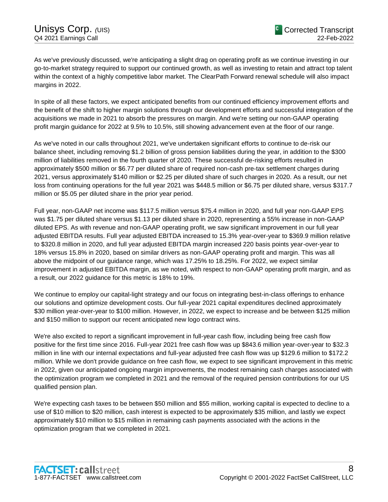As we've previously discussed, we're anticipating a slight drag on operating profit as we continue investing in our go-to-market strategy required to support our continued growth, as well as investing to retain and attract top talent within the context of a highly competitive labor market. The ClearPath Forward renewal schedule will also impact margins in 2022.

In spite of all these factors, we expect anticipated benefits from our continued efficiency improvement efforts and the benefit of the shift to higher margin solutions through our development efforts and successful integration of the acquisitions we made in 2021 to absorb the pressures on margin. And we're setting our non-GAAP operating profit margin guidance for 2022 at 9.5% to 10.5%, still showing advancement even at the floor of our range.

As we've noted in our calls throughout 2021, we've undertaken significant efforts to continue to de-risk our balance sheet, including removing \$1.2 billion of gross pension liabilities during the year, in addition to the \$300 million of liabilities removed in the fourth quarter of 2020. These successful de-risking efforts resulted in approximately \$500 million or \$6.77 per diluted share of required non-cash pre-tax settlement charges during 2021, versus approximately \$140 million or \$2.25 per diluted share of such charges in 2020. As a result, our net loss from continuing operations for the full year 2021 was \$448.5 million or \$6.75 per diluted share, versus \$317.7 million or \$5.05 per diluted share in the prior year period.

Full year, non-GAAP net income was \$117.5 million versus \$75.4 million in 2020, and full year non-GAAP EPS was \$1.75 per diluted share versus \$1.13 per diluted share in 2020, representing a 55% increase in non-GAAP diluted EPS. As with revenue and non-GAAP operating profit, we saw significant improvement in our full year adjusted EBITDA results. Full year adjusted EBITDA increased to 15.3% year-over-year to \$369.9 million relative to \$320.8 million in 2020, and full year adjusted EBITDA margin increased 220 basis points year-over-year to 18% versus 15.8% in 2020, based on similar drivers as non-GAAP operating profit and margin. This was all above the midpoint of our guidance range, which was 17.25% to 18.25%. For 2022, we expect similar improvement in adjusted EBITDA margin, as we noted, with respect to non-GAAP operating profit margin, and as a result, our 2022 guidance for this metric is 18% to 19%.

We continue to employ our capital-light strategy and our focus on integrating best-in-class offerings to enhance our solutions and optimize development costs. Our full-year 2021 capital expenditures declined approximately \$30 million year-over-year to \$100 million. However, in 2022, we expect to increase and be between \$125 million and \$150 million to support our recent anticipated new logo contract wins.

We're also excited to report a significant improvement in full-year cash flow, including being free cash flow positive for the first time since 2016. Full-year 2021 free cash flow was up \$843.6 million year-over-year to \$32.3 million in line with our internal expectations and full-year adjusted free cash flow was up \$129.6 million to \$172.2 million. While we don't provide guidance on free cash flow, we expect to see significant improvement in this metric in 2022, given our anticipated ongoing margin improvements, the modest remaining cash charges associated with the optimization program we completed in 2021 and the removal of the required pension contributions for our US qualified pension plan.

We're expecting cash taxes to be between \$50 million and \$55 million, working capital is expected to decline to a use of \$10 million to \$20 million, cash interest is expected to be approximately \$35 million, and lastly we expect approximately \$10 million to \$15 million in remaining cash payments associated with the actions in the optimization program that we completed in 2021.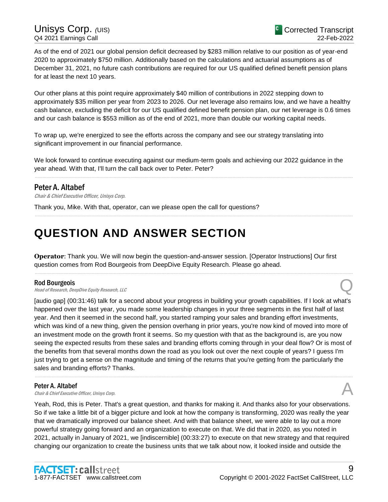As of the end of 2021 our global pension deficit decreased by \$283 million relative to our position as of year-end 2020 to approximately \$750 million. Additionally based on the calculations and actuarial assumptions as of December 31, 2021, no future cash contributions are required for our US qualified defined benefit pension plans for at least the next 10 years.

Our other plans at this point require approximately \$40 million of contributions in 2022 stepping down to approximately \$35 million per year from 2023 to 2026. Our net leverage also remains low, and we have a healthy cash balance, excluding the deficit for our US qualified defined benefit pension plan, our net leverage is 0.6 times and our cash balance is \$553 million as of the end of 2021, more than double our working capital needs.

To wrap up, we're energized to see the efforts across the company and see our strategy translating into significant improvement in our financial performance.

We look forward to continue executing against our medium-term goals and achieving our 2022 guidance in the year ahead. With that, I'll turn the call back over to Peter. Peter?

......................................................................................................................................................................................................................................................

......................................................................................................................................................................................................................................................

# Peter A. Altabef

Chair & Chief Executive Officer, Unisys Corp.

Thank you, Mike. With that, operator, can we please open the call for questions?

# **QUESTION AND ANSWER SECTION**

**Operator**: Thank you. We will now begin the question-and-answer session. [Operator Instructions] Our first question comes from Rod Bourgeois from DeepDive Equity Research. Please go ahead.

......................................................................................................................................................................................................................................................

### Rod Bourgeois

Head of Research, DeepDive Equity Research, LLC Q

[audio gap] (00:31:46) talk for a second about your progress in building your growth capabilities. If I look at what's happened over the last year, you made some leadership changes in your three segments in the first half of last year. And then it seemed in the second half, you started ramping your sales and branding effort investments, which was kind of a new thing, given the pension overhang in prior years, you're now kind of moved into more of an investment mode on the growth front it seems. So my question with that as the background is, are you now seeing the expected results from these sales and branding efforts coming through in your deal flow? Or is most of the benefits from that several months down the road as you look out over the next couple of years? I guess I'm just trying to get a sense on the magnitude and timing of the returns that you're getting from the particularly the sales and branding efforts? Thanks.

......................................................................................................................................................................................................................................................

### Peter A. Altabef

**Peter A. Altabef Chair & Chief Executive Officer, Unisys Corp.**  $\mathcal{A}$ 

Yeah, Rod, this is Peter. That's a great question, and thanks for making it. And thanks also for your observations. So if we take a little bit of a bigger picture and look at how the company is transforming, 2020 was really the year that we dramatically improved our balance sheet. And with that balance sheet, we were able to lay out a more powerful strategy going forward and an organization to execute on that. We did that in 2020, as you noted in 2021, actually in January of 2021, we [indiscernible] (00:33:27) to execute on that new strategy and that required changing our organization to create the business units that we talk about now, it looked inside and outside the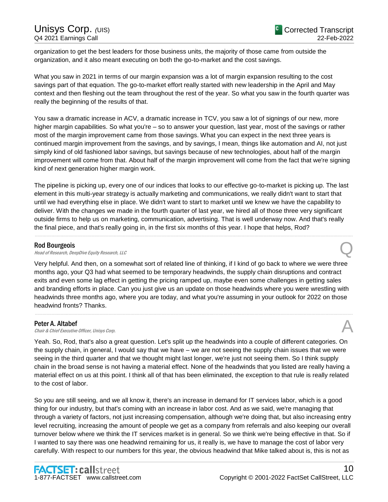# Unisys Corp. (UIS) Q4 2021 Earnings Call

organization to get the best leaders for those business units, the majority of those came from outside the organization, and it also meant executing on both the go-to-market and the cost savings.

What you saw in 2021 in terms of our margin expansion was a lot of margin expansion resulting to the cost savings part of that equation. The go-to-market effort really started with new leadership in the April and May context and then fleshing out the team throughout the rest of the year. So what you saw in the fourth quarter was really the beginning of the results of that.

You saw a dramatic increase in ACV, a dramatic increase in TCV, you saw a lot of signings of our new, more higher margin capabilities. So what you're – so to answer your question, last year, most of the savings or rather most of the margin improvement came from those savings. What you can expect in the next three years is continued margin improvement from the savings, and by savings, I mean, things like automation and AI, not just simply kind of old fashioned labor savings, but savings because of new technologies, about half of the margin improvement will come from that. About half of the margin improvement will come from the fact that we're signing kind of next generation higher margin work.

The pipeline is picking up, every one of our indices that looks to our effective go-to-market is picking up. The last element in this multi-year strategy is actually marketing and communications, we really didn't want to start that until we had everything else in place. We didn't want to start to market until we knew we have the capability to deliver. With the changes we made in the fourth quarter of last year, we hired all of those three very significant outside firms to help us on marketing, communication, advertising. That is well underway now. And that's really the final piece, and that's really going in, in the first six months of this year. I hope that helps, Rod?

......................................................................................................................................................................................................................................................

# Rod Bourgeois

**Rod Bourgeois**<br>
Head of Research, DeepDive Equity Research, LLC Quarter Control of Research, CLC

Very helpful. And then, on a somewhat sort of related line of thinking, if I kind of go back to where we were three months ago, your Q3 had what seemed to be temporary headwinds, the supply chain disruptions and contract exits and even some lag effect in getting the pricing ramped up, maybe even some challenges in getting sales and branding efforts in place. Can you just give us an update on those headwinds where you were wrestling with headwinds three months ago, where you are today, and what you're assuming in your outlook for 2022 on those headwind fronts? Thanks.

......................................................................................................................................................................................................................................................

Peter A. Altabef<br>Chair & Chief Executive Officer, Unisys Corp. **Peter A. Altabef Chair & Chief Executive Officer, Unisys Corp.**  $\mathcal{A}$ 

Yeah. So, Rod, that's also a great question. Let's split up the headwinds into a couple of different categories. On the supply chain, in general, I would say that we have – we are not seeing the supply chain issues that we were seeing in the third quarter and that we thought might last longer, we're just not seeing them. So I think supply chain in the broad sense is not having a material effect. None of the headwinds that you listed are really having a material effect on us at this point. I think all of that has been eliminated, the exception to that rule is really related to the cost of labor.

So you are still seeing, and we all know it, there's an increase in demand for IT services labor, which is a good thing for our industry, but that's coming with an increase in labor cost. And as we said, we're managing that through a variety of factors, not just increasing compensation, although we're doing that, but also increasing entry level recruiting, increasing the amount of people we get as a company from referrals and also keeping our overall turnover below where we think the IT services market is in general. So we think we're being effective in that. So if I wanted to say there was one headwind remaining for us, it really is, we have to manage the cost of labor very carefully. With respect to our numbers for this year, the obvious headwind that Mike talked about is, this is not as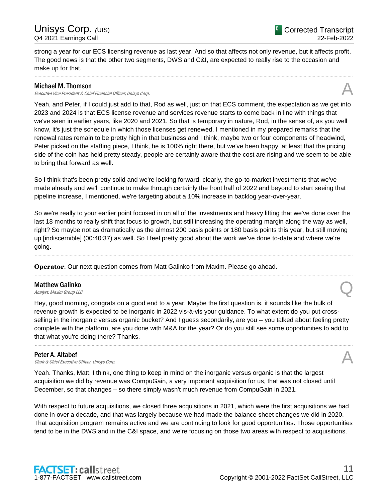strong a year for our ECS licensing revenue as last year. And so that affects not only revenue, but it affects profit. The good news is that the other two segments, DWS and C&I, are expected to really rise to the occasion and make up for that.

......................................................................................................................................................................................................................................................

# Michael M. Thomson

Executive Vice President & Chief Financial Officer, Unisys Corp.

Yeah, and Peter, if I could just add to that, Rod as well, just on that ECS comment, the expectation as we get into 2023 and 2024 is that ECS license revenue and services revenue starts to come back in line with things that we've seen in earlier years, like 2020 and 2021. So that is temporary in nature, Rod, in the sense of, as you well know, it's just the schedule in which those licenses get renewed. I mentioned in my prepared remarks that the renewal rates remain to be pretty high in that business and I think, maybe two or four components of headwind, Peter picked on the staffing piece, I think, he is 100% right there, but we've been happy, at least that the pricing side of the coin has held pretty steady, people are certainly aware that the cost are rising and we seem to be able to bring that forward as well.

So I think that's been pretty solid and we're looking forward, clearly, the go-to-market investments that we've made already and we'll continue to make through certainly the front half of 2022 and beyond to start seeing that pipeline increase, I mentioned, we're targeting about a 10% increase in backlog year-over-year.

So we're really to your earlier point focused in on all of the investments and heavy lifting that we've done over the last 18 months to really shift that focus to growth, but still increasing the operating margin along the way as well, right? So maybe not as dramatically as the almost 200 basis points or 180 basis points this year, but still moving up [indiscernible] (00:40:37) as well. So I feel pretty good about the work we've done to-date and where we're going.

......................................................................................................................................................................................................................................................

......................................................................................................................................................................................................................................................

**Operator**: Our next question comes from Matt Galinko from Maxim. Please go ahead.

# Matthew Galinko **Matthew Galinko**<br>Analyst, Maxim Group LLC

Hey, good morning, congrats on a good end to a year. Maybe the first question is, it sounds like the bulk of revenue growth is expected to be inorganic in 2022 vis-à-vis your guidance. To what extent do you put crossselling in the inorganic versus organic bucket? And I guess secondarily, are you – you talked about feeling pretty complete with the platform, are you done with M&A for the year? Or do you still see some opportunities to add to that what you're doing there? Thanks.

......................................................................................................................................................................................................................................................

Peter A. Altabef<br>Chair & Chief Executive Officer, Unisys Corp. **Peter A. Altabef Chair & Chief Executive Officer, Unisys Corp.**  $\mathcal{A}$ 

Yeah. Thanks, Matt. I think, one thing to keep in mind on the inorganic versus organic is that the largest acquisition we did by revenue was CompuGain, a very important acquisition for us, that was not closed until December, so that changes – so there simply wasn't much revenue from CompuGain in 2021.

With respect to future acquisitions, we closed three acquisitions in 2021, which were the first acquisitions we had done in over a decade, and that was largely because we had made the balance sheet changes we did in 2020. That acquisition program remains active and we are continuing to look for good opportunities. Those opportunities tend to be in the DWS and in the C&I space, and we're focusing on those two areas with respect to acquisitions.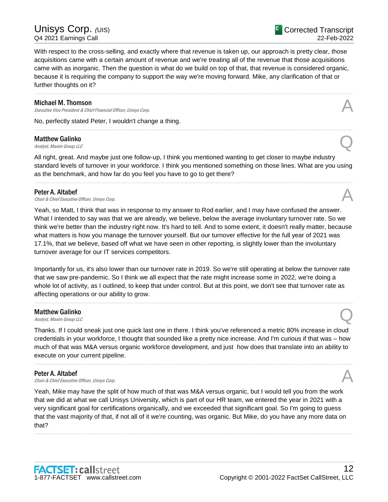With respect to the cross-selling, and exactly where that revenue is taken up, our approach is pretty clear, those acquisitions came with a certain amount of revenue and we're treating all of the revenue that those acquisitions came with as inorganic. Then the question is what do we build on top of that, that revenue is considered organic, because it is requiring the company to support the way we're moving forward. Mike, any clarification of that or further thoughts on it?

......................................................................................................................................................................................................................................................

......................................................................................................................................................................................................................................................

### Michael M. Thomson

**Michael M. Thomson**<br>Executive Vice President & Chief Financial Officer, Unisys Corp.

No, perfectly stated Peter, I wouldn't change a thing.

# Matthew Galinko **Matthew Galinko**<br>Analyst, Maxim Group LLC

All right, great. And maybe just one follow-up, I think you mentioned wanting to get closer to maybe industry standard levels of turnover in your workforce. I think you mentioned something on those lines. What are you using as the benchmark, and how far do you feel you have to go to get there?

......................................................................................................................................................................................................................................................

# Peter A. Altabef

**Peter A. Altabef Chair & Chief Executive Officer, Unisys Corp.**  $\mathcal{A}$ 

Yeah, so Matt, I think that was in response to my answer to Rod earlier, and I may have confused the answer. What I intended to say was that we are already, we believe, below the average involuntary turnover rate. So we think we're better than the industry right now. It's hard to tell. And to some extent, it doesn't really matter, because what matters is how you manage the turnover yourself. But our turnover effective for the full year of 2021 was 17.1%, that we believe, based off what we have seen in other reporting, is slightly lower than the involuntary turnover average for our IT services competitors.

Importantly for us, it's also lower than our turnover rate in 2019. So we're still operating at below the turnover rate that we saw pre-pandemic. So I think we all expect that the rate might increase some in 2022, we're doing a whole lot of activity, as I outlined, to keep that under control. But at this point, we don't see that turnover rate as affecting operations or our ability to grow.

......................................................................................................................................................................................................................................................

# Matthew Galinko **Matthew Galinko**<br>Analyst, Maxim Group LLC

Thanks. If I could sneak just one quick last one in there. I think you've referenced a metric 80% increase in cloud credentials in your workforce, I thought that sounded like a pretty nice increase. And I'm curious if that was – how much of that was M&A versus organic workforce development, and just how does that translate into an ability to execute on your current pipeline.

......................................................................................................................................................................................................................................................

**Peter A. Altabef**<br>Chair & Chief Executive Officer, Unisys Corp. **Peter A. Altabef Chair & Chief Executive Officer, Unisys Corp.**  $\mathcal{A}$ 

Yeah, Mike may have the split of how much of that was M&A versus organic, but I would tell you from the work that we did at what we call Unisys University, which is part of our HR team, we entered the year in 2021 with a very significant goal for certifications organically, and we exceeded that significant goal. So I'm going to guess that the vast majority of that, if not all of it we're counting, was organic. But Mike, do you have any more data on that?

......................................................................................................................................................................................................................................................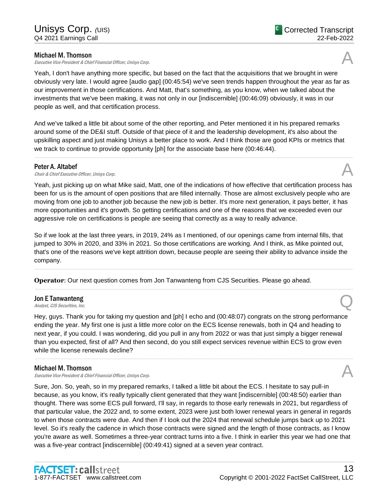# Michael M. Thomson

Executive Vice President & Chief Financial Officer, Unisys Corp.



Yeah, I don't have anything more specific, but based on the fact that the acquisitions that we brought in were obviously very late. I would agree [audio gap] (00:45:54) we've seen trends happen throughout the year as far as our improvement in those certifications. And Matt, that's something, as you know, when we talked about the investments that we've been making, it was not only in our [indiscernible] (00:46:09) obviously, it was in our people as well, and that certification process.

And we've talked a little bit about some of the other reporting, and Peter mentioned it in his prepared remarks around some of the DE&I stuff. Outside of that piece of it and the leadership development, it's also about the upskilling aspect and just making Unisys a better place to work. And I think those are good KPIs or metrics that we track to continue to provide opportunity [ph] for the associate base here (00:46:44).

......................................................................................................................................................................................................................................................

## Peter A. Altabef

**Peter A. Altabef Chair & Chief Executive Officer, Unisys Corp.**  $\mathcal{A}$ 

Yeah, just picking up on what Mike said, Matt, one of the indications of how effective that certification process has been for us is the amount of open positions that are filled internally. Those are almost exclusively people who are moving from one job to another job because the new job is better. It's more next generation, it pays better, it has more opportunities and it's growth. So getting certifications and one of the reasons that we exceeded even our aggressive role on certifications is people are seeing that correctly as a way to really advance.

So if we look at the last three years, in 2019, 24% as I mentioned, of our openings came from internal fills, that jumped to 30% in 2020, and 33% in 2021. So those certifications are working. And I think, as Mike pointed out, that's one of the reasons we've kept attrition down, because people are seeing their ability to advance inside the company.

......................................................................................................................................................................................................................................................

......................................................................................................................................................................................................................................................

**Operator**: Our next question comes from Jon Tanwanteng from CJS Securities. Please go ahead.

# Jon E Tanwanteng **Jon E Tanwanteng**<br>Analyst, CJS Securities, Inc.  $\bigotimes$

Hey, guys. Thank you for taking my question and [ph] I echo and (00:48:07) congrats on the strong performance ending the year. My first one is just a little more color on the ECS license renewals, both in Q4 and heading to next year, if you could. I was wondering, did you pull in any from 2022 or was that just simply a bigger renewal than you expected, first of all? And then second, do you still expect services revenue within ECS to grow even while the license renewals decline?

......................................................................................................................................................................................................................................................

# Michael M. Thomson

Executive Vice President & Chief Financial Officer, Unisys Corp.

Sure, Jon. So, yeah, so in my prepared remarks, I talked a little bit about the ECS. I hesitate to say pull-in because, as you know, it's really typically client generated that they want [indiscernible] (00:48:50) earlier than thought. There was some ECS pull forward, I'll say, in regards to those early renewals in 2021, but regardless of that particular value, the 2022 and, to some extent, 2023 were just both lower renewal years in general in regards to when those contracts were due. And then if I look out the 2024 that renewal schedule jumps back up to 2021 level. So it's really the cadence in which those contracts were signed and the length of those contracts, as I know you're aware as well. Sometimes a three-year contract turns into a five. I think in earlier this year we had one that was a five-year contract [indiscernible] (00:49:41) signed at a seven year contract.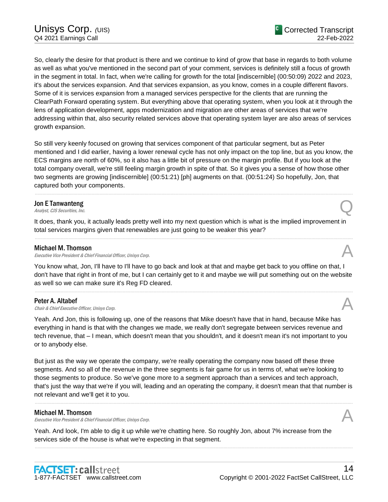So, clearly the desire for that product is there and we continue to kind of grow that base in regards to both volume as well as what you've mentioned in the second part of your comment, services is definitely still a focus of growth in the segment in total. In fact, when we're calling for growth for the total [indiscernible] (00:50:09) 2022 and 2023, it's about the services expansion. And that services expansion, as you know, comes in a couple different flavors. Some of it is services expansion from a managed services perspective for the clients that are running the ClearPath Forward operating system. But everything above that operating system, when you look at it through the lens of application development, apps modernization and migration are other areas of services that we're addressing within that, also security related services above that operating system layer are also areas of services growth expansion.

So still very keenly focused on growing that services component of that particular segment, but as Peter mentioned and I did earlier, having a lower renewal cycle has not only impact on the top line, but as you know, the ECS margins are north of 60%, so it also has a little bit of pressure on the margin profile. But if you look at the total company overall, we're still feeling margin growth in spite of that. So it gives you a sense of how those other two segments are growing [indiscernible] (00:51:21) [ph] augments on that. (00:51:24) So hopefully, Jon, that captured both your components.

......................................................................................................................................................................................................................................................

# Jon E Tanwanteng **Jon E Tanwanteng**<br>Analyst, CJS Securities, Inc.

It does, thank you, it actually leads pretty well into my next question which is what is the implied improvement in total services margins given that renewables are just going to be weaker this year?

......................................................................................................................................................................................................................................................

# Michael M. Thomson

Executive Vice President & Chief Financial Officer, Unisys Corp.

You know what, Jon, I'll have to I'll have to go back and look at that and maybe get back to you offline on that, I don't have that right in front of me, but I can certainly get to it and maybe we will put something out on the website as well so we can make sure it's Reg FD cleared.

......................................................................................................................................................................................................................................................

Peter A. Altabef<br>Chair & Chief Executive Officer, Unisys Corp. **Peter A. Altabef Chair & Chief Executive Officer, Unisys Corp.**  $\mathcal{A}$ 

Yeah. And Jon, this is following up, one of the reasons that Mike doesn't have that in hand, because Mike has everything in hand is that with the changes we made, we really don't segregate between services revenue and tech revenue, that – I mean, which doesn't mean that you shouldn't, and it doesn't mean it's not important to you or to anybody else.

But just as the way we operate the company, we're really operating the company now based off these three segments. And so all of the revenue in the three segments is fair game for us in terms of, what we're looking to those segments to produce. So we've gone more to a segment approach than a services and tech approach, that's just the way that we're if you will, leading and an operating the company, it doesn't mean that that number is not relevant and we'll get it to you.

......................................................................................................................................................................................................................................................

......................................................................................................................................................................................................................................................

# Michael M. Thomson

Executive Vice President & Chief Financial Officer, Unisys Corp.

Yeah. And look, I'm able to dig it up while we're chatting here. So roughly Jon, about 7% increase from the services side of the house is what we're expecting in that segment.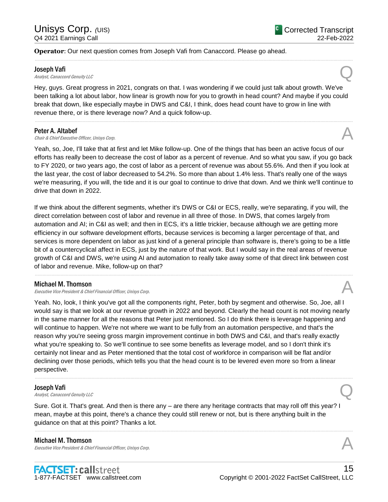# **Operator**: Our next question comes from Joseph Vafi from Canaccord. Please go ahead.

#### Joseph Vafi

**Joseph Vafi**<br>Analyst, Canaccord Genuity LLC

Hey, guys. Great progress in 2021, congrats on that. I was wondering if we could just talk about growth. We've been talking a lot about labor, how linear is growth now for you to growth in head count? And maybe if you could break that down, like especially maybe in DWS and C&I, I think, does head count have to grow in line with revenue there, or is there leverage now? And a quick follow-up.

......................................................................................................................................................................................................................................................

......................................................................................................................................................................................................................................................

## Peter A. Altabef

Chair & Chief Executive Officer, Unisys Corp.

Yeah, so, Joe, I'll take that at first and let Mike follow-up. One of the things that has been an active focus of our efforts has really been to decrease the cost of labor as a percent of revenue. And so what you saw, if you go back to FY 2020, or two years ago, the cost of labor as a percent of revenue was about 55.6%. And then if you look at the last year, the cost of labor decreased to 54.2%. So more than about 1.4% less. That's really one of the ways we're measuring, if you will, the tide and it is our goal to continue to drive that down. And we think we'll continue to drive that down in 2022.

If we think about the different segments, whether it's DWS or C&I or ECS, really, we're separating, if you will, the direct correlation between cost of labor and revenue in all three of those. In DWS, that comes largely from automation and AI; in C&I as well; and then in ECS, it's a little trickier, because although we are getting more efficiency in our software development efforts, because services is becoming a larger percentage of that, and services is more dependent on labor as just kind of a general principle than software is, there's going to be a little bit of a countercyclical affect in ECS, just by the nature of that work. But I would say in the real areas of revenue growth of C&I and DWS, we're using AI and automation to really take away some of that direct link between cost of labor and revenue. Mike, follow-up on that?

......................................................................................................................................................................................................................................................

### Michael M. Thomson

Executive Vice President & Chief Financial Officer, Unisys Corp.

Yeah. No, look, I think you've got all the components right, Peter, both by segment and otherwise. So, Joe, all I would say is that we look at our revenue growth in 2022 and beyond. Clearly the head count is not moving nearly in the same manner for all the reasons that Peter just mentioned. So I do think there is leverage happening and will continue to happen. We're not where we want to be fully from an automation perspective, and that's the reason why you're seeing gross margin improvement continue in both DWS and C&I, and that's really exactly what you're speaking to. So we'll continue to see some benefits as leverage model, and so I don't think it's certainly not linear and as Peter mentioned that the total cost of workforce in comparison will be flat and/or declining over those periods, which tells you that the head count is to be levered even more so from a linear perspective.

......................................................................................................................................................................................................................................................

#### Joseph Vafi

**Joseph Vafi**<br>Analyst, Canaccord Genuity LLC

Sure. Got it. That's great. And then is there any – are there any heritage contracts that may roll off this year? I mean, maybe at this point, there's a chance they could still renew or not, but is there anything built in the guidance on that at this point? Thanks a lot.

......................................................................................................................................................................................................................................................

#### Michael M. Thomson

Executive Vice President & Chief Financial Officer, Unisys Corp.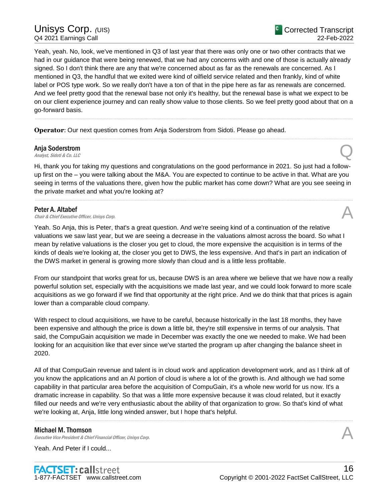# Unisys Corp. (UIS) Q4 2021 Earnings Call

Yeah, yeah. No, look, we've mentioned in Q3 of last year that there was only one or two other contracts that we had in our guidance that were being renewed, that we had any concerns with and one of those is actually already signed. So I don't think there are any that we're concerned about as far as the renewals are concerned. As I mentioned in Q3, the handful that we exited were kind of oilfield service related and then frankly, kind of white label or POS type work. So we really don't have a ton of that in the pipe here as far as renewals are concerned. And we feel pretty good that the renewal base not only it's healthy, but the renewal base is what we expect to be on our client experience journey and can really show value to those clients. So we feel pretty good about that on a go-forward basis.

......................................................................................................................................................................................................................................................

......................................................................................................................................................................................................................................................

**Operator**: Our next question comes from Anja Soderstrom from Sidoti. Please go ahead.

# Anja Soderstrom **Anja Soderstrom**<br>Analyst, Sidoti & Co. LLC

Hi, thank you for taking my questions and congratulations on the good performance in 2021. So just had a followup first on the – you were talking about the M&A. You are expected to continue to be active in that. What are you seeing in terms of the valuations there, given how the public market has come down? What are you see seeing in the private market and what you're looking at?

......................................................................................................................................................................................................................................................

# Peter A. Altabef

**Peter A. Altabef Chair & Chief Executive Officer, Unisys Corp.**  $\mathcal{A}$ 

Yeah. So Anja, this is Peter, that's a great question. And we're seeing kind of a continuation of the relative valuations we saw last year, but we are seeing a decrease in the valuations almost across the board. So what I mean by relative valuations is the closer you get to cloud, the more expensive the acquisition is in terms of the kinds of deals we're looking at, the closer you get to DWS, the less expensive. And that's in part an indication of the DWS market in general is growing more slowly than cloud and is a little less profitable.

From our standpoint that works great for us, because DWS is an area where we believe that we have now a really powerful solution set, especially with the acquisitions we made last year, and we could look forward to more scale acquisitions as we go forward if we find that opportunity at the right price. And we do think that that prices is again lower than a comparable cloud company.

With respect to cloud acquisitions, we have to be careful, because historically in the last 18 months, they have been expensive and although the price is down a little bit, they're still expensive in terms of our analysis. That said, the CompuGain acquisition we made in December was exactly the one we needed to make. We had been looking for an acquisition like that ever since we've started the program up after changing the balance sheet in 2020.

All of that CompuGain revenue and talent is in cloud work and application development work, and as I think all of you know the applications and an AI portion of cloud is where a lot of the growth is. And although we had some capability in that particular area before the acquisition of CompuGain, it's a whole new world for us now. It's a dramatic increase in capability. So that was a little more expensive because it was cloud related, but it exactly filled our needs and we're very enthusiastic about the ability of that organization to grow. So that's kind of what we're looking at, Anja, little long winded answer, but I hope that's helpful.

......................................................................................................................................................................................................................................................

### Michael M. Thomson

Executive Vice President & Chief Financial Officer, Unisys Corp.

Yeah. And Peter if I could...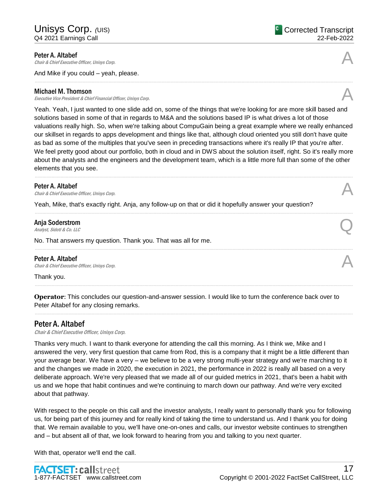Peter A. Altabef<br>Chair & Chief Executive Officer, Unisys Corp. **Peter A. Altabef Chair & Chief Executive Officer, Unisys Corp.**  $\mathcal{A}$ 

And Mike if you could – yeah, please.

### Michael M. Thomson

Executive Vice President & Chief Financial Officer, Unisys Corp.

Yeah. Yeah, I just wanted to one slide add on, some of the things that we're looking for are more skill based and solutions based in some of that in regards to M&A and the solutions based IP is what drives a lot of those valuations really high. So, when we're talking about CompuGain being a great example where we really enhanced our skillset in regards to apps development and things like that, although cloud oriented you still don't have quite as bad as some of the multiples that you've seen in preceding transactions where it's really IP that you're after. We feel pretty good about our portfolio, both in cloud and in DWS about the solution itself, right. So it's really more about the analysts and the engineers and the development team, which is a little more full than some of the other elements that you see. ......................................................................................................................................................................................................................................................

......................................................................................................................................................................................................................................................

......................................................................................................................................................................................................................................................

......................................................................................................................................................................................................................................................

......................................................................................................................................................................................................................................................

## Peter A. Altabef

**Peter A. Altabef**  $\bigwedge$  Chair & Chief Executive Officer, Unisys Corp.

Yeah, Mike, that's exactly right. Anja, any follow-up on that or did it hopefully answer your question?

# Anja Soderstrom **Anja Soderstrom**<br>Analyst, Sidoti & Co. LLC

No. That answers my question. Thank you. That was all for me.

### Peter A. Altabef

**Peter A. Altabef**  $\bigwedge$  *Chair & Chief Executive Officer, Unisys Corp.* 

Thank you.

**Operator**: This concludes our question-and-answer session. I would like to turn the conference back over to Peter Altabef for any closing remarks.

# Peter A. Altabef

Chair & Chief Executive Officer, Unisys Corp.

Thanks very much. I want to thank everyone for attending the call this morning. As I think we, Mike and I answered the very, very first question that came from Rod, this is a company that it might be a little different than your average bear. We have a very – we believe to be a very strong multi-year strategy and we're marching to it and the changes we made in 2020, the execution in 2021, the performance in 2022 is really all based on a very deliberate approach. We're very pleased that we made all of our guided metrics in 2021, that's been a habit with us and we hope that habit continues and we're continuing to march down our pathway. And we're very excited about that pathway.

With respect to the people on this call and the investor analysts, I really want to personally thank you for following us, for being part of this journey and for really kind of taking the time to understand us. And I thank you for doing that. We remain available to you, we'll have one-on-ones and calls, our investor website continues to strengthen and – but absent all of that, we look forward to hearing from you and talking to you next quarter.

With that, operator we'll end the call.